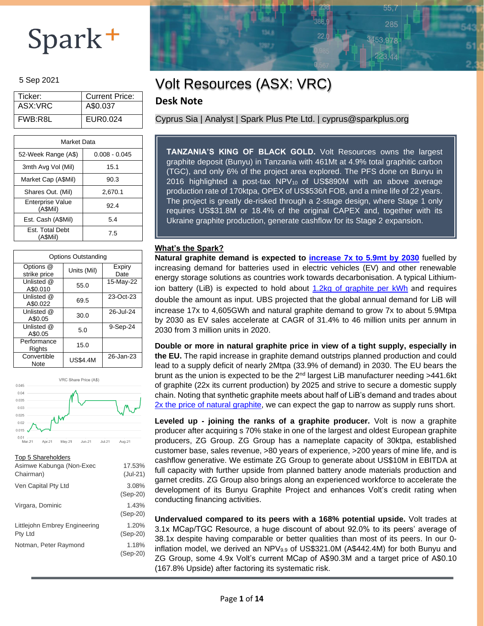#### 5 Sep 2021

| Ticker: | <b>Current Price:</b> |
|---------|-----------------------|
| ASX:VRC | A\$0.037              |
| FWB:R8L | EUR0.024              |

| Market Data                         |                 |  |  |  |  |
|-------------------------------------|-----------------|--|--|--|--|
| 52-Week Range (A\$)                 | $0.008 - 0.045$ |  |  |  |  |
| 3mth Avg Vol (Mil)                  | 15.1            |  |  |  |  |
| Market Cap (A\$Mil)                 | 90.3            |  |  |  |  |
| Shares Out. (Mil)                   | 2,670.1         |  |  |  |  |
| <b>Enterprise Value</b><br>(A\$Mil) | 92.4            |  |  |  |  |
| Est. Cash (A\$Mil)                  | 5.4             |  |  |  |  |
| <b>Est. Total Debt</b><br>(ASMil)   | 7.5             |  |  |  |  |

| <b>Options Outstanding</b> |                 |                |  |  |  |  |  |
|----------------------------|-----------------|----------------|--|--|--|--|--|
| Options @<br>strike price  | Units (Mil)     | Expiry<br>Date |  |  |  |  |  |
| Unlisted @<br>A\$0.010     | 55.0            | 15-May-22      |  |  |  |  |  |
| Unlisted @<br>A\$0.022     | 69.5            | 23-Oct-23      |  |  |  |  |  |
| Unlisted @<br>A\$0.05      | 30.0            | 26-Jul-24      |  |  |  |  |  |
| Unlisted @<br>A\$0.05      | 5.0             | 9-Sep-24       |  |  |  |  |  |
| Performance<br>Rights      | 15.0            |                |  |  |  |  |  |
| Convertible<br>Note        | <b>US\$4.4M</b> | 26-Jan-23      |  |  |  |  |  |



#### Top 5 Shareholders

| Asimwe Kabunga (Non-Exec<br>Chairman)    | 17.53%<br>$(Jul-21)$ |
|------------------------------------------|----------------------|
| Ven Capital Pty Ltd                      | 3.08%<br>$(Sep-20)$  |
| Virgara, Dominic                         | 1.43%<br>$(Sep-20)$  |
| Littlejohn Embrey Engineering<br>Pty Ltd | 1.20%<br>$(Sep-20)$  |
| Notman, Peter Raymond                    | 1.18%<br>$(Sep-20)$  |
|                                          |                      |

### Volt Resources (ASX: VRC)

### **Desk Note**

Cyprus Sia | Analyst | Spark Plus Pte Ltd. | cyprus@sparkplus.org

**TANZANIA'S KING OF BLACK GOLD.** Volt Resources owns the largest graphite deposit (Bunyu) in Tanzania with 461Mt at 4.9% total graphitic carbon (TGC), and only 6% of the project area explored. The PFS done on Bunyu in 2016 highlighted a post-tax NPV10 of US\$890M with an above average production rate of 170ktpa, OPEX of US\$536/t FOB, and a mine life of 22 years. The project is greatly de-risked through a 2-stage design, where Stage 1 only requires US\$31.8M or 18.4% of the original CAPEX and, together with its Ukraine graphite production, generate cashflow for its Stage 2 expansion.

 $55,7$ 

3453.978

### **What's the Spark?**

**Natural graphite demand is expected to increase 7x [to 5.9mt by 2030](https://www.mining.com/top-14-ubs-battery-metals-forecasts-after-vw-teardown/)** fuelled by increasing demand for batteries used in electric vehicles (EV) and other renewable energy storage solutions as countries work towards decarbonisation. A typical Lithiumion battery (LiB) is expected to hold about 1.2kg [of graphite per kWh](https://nouveaumonde.group/wp-content/uploads/2021/02/NMG_Corporate_Presentation.pdf) and requires double the amount as input. UBS projected that the global annual demand for LiB will increase 17x to 4,605GWh and natural graphite demand to grow 7x to about 5.9Mtpa by 2030 as EV sales accelerate at CAGR of 31.4% to 46 million units per annum in 2030 from 3 million units in 2020.

**Double or more in natural graphite price in view of a tight supply, especially in the EU.** The rapid increase in graphite demand outstrips planned production and could lead to a supply deficit of nearly 2Mtpa (33.9% of demand) in 2030. The EU bears the brunt as the union is expected to be the  $2<sup>nd</sup>$  largest LiB manufacturer needing >441.6kt of graphite (22x its current production) by 2025 and strive to secure a domestic supply chain. Noting that synthetic graphite meets about half of LiB's demand and trades about 2x the [price of natural](https://www.canadacarbon.com/synthetic-vs-natural-graphite#:~:text=Synthetic%20graphite%20for%20these%20batteries,cost%20of%20automotive%20battery%20systems.) graphite, we can expect the gap to narrow as supply runs short.

**Leveled up - joining the ranks of a graphite producer.** Volt is now a graphite producer after acquiring s 70% stake in one of the largest and oldest European graphite producers, ZG Group. ZG Group has a nameplate capacity of 30ktpa, established customer base, sales revenue, >80 years of experience, >200 years of mine life, and is cashflow generative. We estimate ZG Group to generate about US\$10M in EBITDA at full capacity with further upside from planned battery anode materials production and garnet credits. ZG Group also brings along an experienced workforce to accelerate the development of its Bunyu Graphite Project and enhances Volt's credit rating when conducting financing activities.

**Undervalued compared to its peers with a 168% potential upside.** Volt trades at 3.1x MCap/TGC Resource, a huge discount of about 92.0% to its peers' average of 38.1x despite having comparable or better qualities than most of its peers. In our 0 inflation model, we derived an  $NPV_{9.9}$  of US\$321.0M (A\$442.4M) for both Bunyu and ZG Group, some 4.9x Volt's current MCap of A\$90.3M and a target price of A\$0.10 (167.8% Upside) after factoring its systematic risk.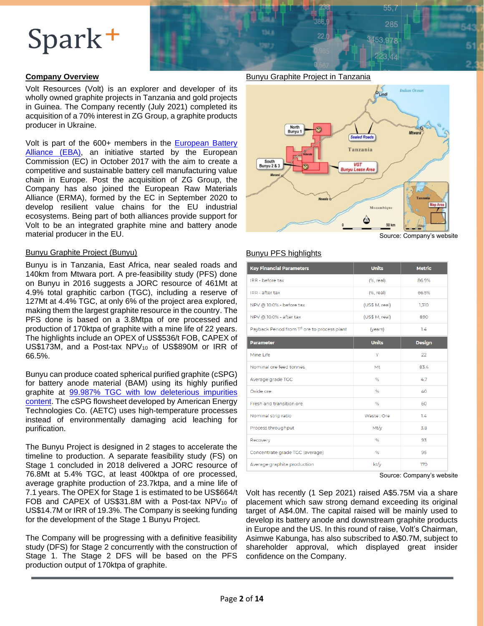

### **Company Overview**

Volt Resources (Volt) is an explorer and developer of its wholly owned graphite projects in Tanzania and gold projects in Guinea. The Company recently (July 2021) completed its acquisition of a 70% interest in ZG Group, a graphite products producer in Ukraine.

Volt is part of the 600+ members in the **European Battery** [Alliance](https://www.eba250.com/) (EBA), an initiative started by the European Commission (EC) in October 2017 with the aim to create a competitive and sustainable battery cell manufacturing value chain in Europe. Post the acquisition of ZG Group, the Company has also joined the European Raw Materials Alliance (ERMA), formed by the EC in September 2020 to develop resilient value chains for the EU industrial ecosystems. Being part of both alliances provide support for Volt to be an integrated graphite mine and battery anode material producer in the EU.

#### Bunyu Graphite Project (Bunyu)

Bunyu is in Tanzania, East Africa, near sealed roads and 140km from Mtwara port. A pre-feasibility study (PFS) done on Bunyu in 2016 suggests a JORC resource of 461Mt at 4.9% total graphitic carbon (TGC), including a reserve of 127Mt at 4.4% TGC, at only 6% of the project area explored, making them the largest graphite resource in the country. The PFS done is based on a 3.8Mtpa of ore processed and production of 170ktpa of graphite with a mine life of 22 years. The highlights include an OPEX of US\$536/t FOB, CAPEX of US\$173M, and a Post-tax NPV10 of US\$890M or IRR of 66.5%.

Bunyu can produce coated spherical purified graphite (cSPG) for battery anode material (BAM) using its highly purified graphite at 99.987% TGC [with low deleterious impurities](https://cdn-api.markitdigital.com/apiman-gateway/ASX/asx-research/1.0/file/2924-02411496-6A1047044?access_token=83ff96335c2d45a094df02a206a39ff4)  [content.](https://cdn-api.markitdigital.com/apiman-gateway/ASX/asx-research/1.0/file/2924-02411496-6A1047044?access_token=83ff96335c2d45a094df02a206a39ff4) The cSPG flowsheet developed by American Energy Technologies Co. (AETC) uses high-temperature processes instead of environmentally damaging acid leaching for purification.

The Bunyu Project is designed in 2 stages to accelerate the timeline to production. A separate feasibility study (FS) on Stage 1 concluded in 2018 delivered a JORC resource of 76.8Mt at 5.4% TGC, at least 400ktpa of ore processed, average graphite production of 23.7ktpa, and a mine life of 7.1 years. The OPEX for Stage 1 is estimated to be US\$664/t FOB and CAPEX of US\$31.8M with a Post-tax NPV10 of US\$14.7M or IRR of 19.3%. The Company is seeking funding for the development of the Stage 1 Bunyu Project.

The Company will be progressing with a definitive feasibility study (DFS) for Stage 2 concurrently with the construction of Stage 1. The Stage 2 DFS will be based on the PFS production output of 170ktpa of graphite.

Bunyu Graphite Project in Tanzania



Source: Company's website

### Bunyu PFS highlights

| <b>Key Financial Parameters</b>              | <b>Units</b>   | <b>Metric</b> |
|----------------------------------------------|----------------|---------------|
| IRR - before tax                             | $(%$ , real)   | 86.9%         |
| IRR - after tax                              | (%, real)      | 66.5%         |
| NPV @ 10.0% - before tax                     | (US\$ M, real) | 1,310         |
| NPV @ 10.0% - after tax                      | (US\$ M, real) | 890           |
| Payback Period from 1st ore to process plant | (years)        | 1.4           |
| <b>Parameter</b>                             | <b>Units</b>   | <b>Design</b> |
| Mine Life                                    | Y              | 22            |
| Nominal ore feed tonnes                      | Mt             | 83.4          |
| Average grade TGC                            | %              | 47            |
| Oxide ore                                    | %              | 40            |
| Fresh and transition ore                     | %              | 60            |
| Nominal strip ratio                          | Waste: Ore     | 14            |
| Process throughput                           | Mt/v           | 3.8           |
| Recovery                                     | %              | 93            |
| Concentrate grade TGC (average)              | %              | 95            |
| Average graphite production                  | kt/y           | 170           |

Source: Company's website

Volt has recently (1 Sep 2021) raised A\$5.75M via a share placement which saw strong demand exceeding its original target of A\$4.0M. The capital raised will be mainly used to develop its battery anode and downstream graphite products in Europe and the US. In this round of raise, Volt's Chairman, Asimwe Kabunga, has also subscribed to A\$0.7M, subject to shareholder approval, which displayed great insider confidence on the Company.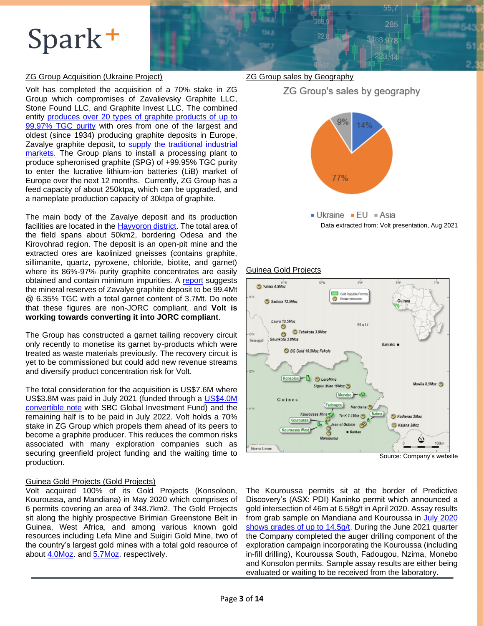### ZG Group Acquisition (Ukraine Project)

Volt has completed the acquisition of a 70% stake in ZG Group which compromises of Zavalievsky Graphite LLC, Stone Found LLC, and Graphite Invest LLC. The combined entity produces over 20 types of [graphite products](https://zvgraphit.com.ua/en/analitic/19998-zavalivskiy-graphite-perfection-on-the-ukrainian-market.html) of up to [99.97% TGC](https://zvgraphit.com.ua/en/analitic/19998-zavalivskiy-graphite-perfection-on-the-ukrainian-market.html) purity with ores from one of the largest and oldest (since 1934) producing graphite deposits in Europe, Zavalye graphite deposit, to supply the traditional industrial [markets.](https://zvgraphit.com.ua/service/) The Group plans to install a processing plant to produce spheronised graphite (SPG) of +99.95% TGC purity to enter the lucrative lithium-ion batteries (LiB) market of Europe over the next 12 months. Currently, ZG Group has a feed capacity of about 250ktpa, which can be upgraded, and a nameplate production capacity of 30ktpa of graphite.

The main body of the Zavalye deposit and its production facilities are located in the **Hayvoron district**. The total area of the field spans about 50km2, bordering Odesa and the Kirovohrad region. The deposit is an open-pit mine and the extracted ores are kaolinized gneisses (contains graphite, sillimanite, quartz, pyroxene, chloride, biotite, and garnet) where its 86%-97% purity graphite concentrates are easily obtained and contain minimum impurities. A [report](http://znp.igns.gov.ua/wp-content/uploads/2020/01/3_31_1-1.pdf) suggests the mineral reserves of Zavalye graphite deposit to be 99.4Mt @ 6.35% TGC with a total garnet content of 3.7Mt. Do note that these figures are non-JORC compliant, and **Volt is working towards converting it into JORC compliant**.

The Group has constructed a garnet tailing recovery circuit only recently to monetise its garnet by-products which were treated as waste materials previously. The recovery circuit is yet to be commissioned but could add new revenue streams and diversify product concentration risk for Volt.

The total consideration for the acquisition is US\$7.6M where US\$3.8M was paid in July 2021 (funded through a [US\\$4.0M](https://cdn-api.markitdigital.com/apiman-gateway/ASX/asx-research/1.0/file/2924-02399471-6A1042419?access_token=83ff96335c2d45a094df02a206a39ff4)  [convertible note](https://cdn-api.markitdigital.com/apiman-gateway/ASX/asx-research/1.0/file/2924-02399471-6A1042419?access_token=83ff96335c2d45a094df02a206a39ff4) with SBC Global Investment Fund) and the remaining half is to be paid in July 2022. Volt holds a 70% stake in ZG Group which propels them ahead of its peers to become a graphite producer. This reduces the common risks associated with many exploration companies such as securing greenfield project funding and the waiting time to production.

#### Guinea Gold Projects (Gold Projects)

Volt acquired 100% of its Gold Projects (Konsoloon, Kouroussa, and Mandiana) in May 2020 which comprises of 6 permits covering an area of 348.7km2. The Gold Projects sit along the highly prospective Birimian Greenstone Belt in Guinea, West Africa, and among various known gold resources including Lefa Mine and Suigiri Gold Mine, two of the country's largest gold mines with a total gold resource of about [4.0Moz.](https://miningdataonline.com/property/557/Lefa-Mine.aspx#Production) and [5.7Moz.](https://www.mining-technology.com/projects/gold_siguiri/) respectively.

### ZG Group sales by Geography



ZG Group's sales by geography

Data extracted from: Volt presentation, Aug 2021

 $55,7$ 285

3453,978

#### Guinea Gold Projects



Source: Company's website

The Kouroussa permits sit at the border of Predictive Discovery's (ASX: PDI) Kaninko permit which announced a gold intersection of 46m at 6.58g/t in April 2020. Assay results from grab sample on Mandiana and Kouroussa in July 2020 [shows grades of up to 14.5g/t.](https://cdn-api.markitdigital.com/apiman-gateway/ASX/asx-research/1.0/file/2924-02257688-6A987545?access_token=83ff96335c2d45a094df02a206a39ff4) During the June 2021 quarter the Company completed the auger drilling component of the exploration campaign incorporating the Kouroussa (including in-fill drilling), Kouroussa South, Fadougou, Nzima, Monebo and Konsolon permits. Sample assay results are either being evaluated or waiting to be received from the laboratory.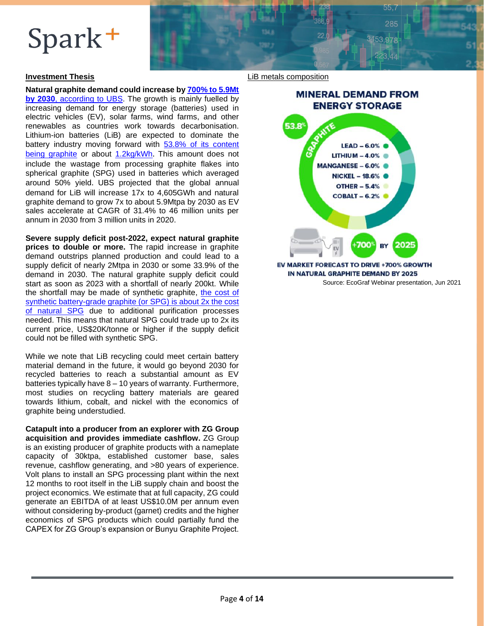### **Investment Thesis**

**Natural graphite demand could increase by 700% [to 5.9Mt](https://www.mining.com/top-14-ubs-battery-metals-forecasts-after-vw-teardown/) by 2030**[, according to UBS.](https://www.mining.com/top-14-ubs-battery-metals-forecasts-after-vw-teardown/) The growth is mainly fuelled by increasing demand for energy storage (batteries) used in electric vehicles (EV), solar farms, wind farms, and other renewables as countries work towards decarbonisation. Lithium-ion batteries (LiB) are expected to dominate the battery industry moving forward with [53.8% of its content](https://pubdocs.worldbank.org/en/961711588875536384/Minerals-for-Climate-Action-The-Mineral-Intensity-of-the-Clean-Energy-Transition.pdf)  [being graphite](https://pubdocs.worldbank.org/en/961711588875536384/Minerals-for-Climate-Action-The-Mineral-Intensity-of-the-Clean-Energy-Transition.pdf) or about [1.2kg/kWh](https://nouveaumonde.group/wp-content/uploads/2021/02/NMG_Corporate_Presentation.pdf). This amount does not include the wastage from processing graphite flakes into spherical graphite (SPG) used in batteries which averaged around 50% yield. UBS projected that the global annual demand for LiB will increase 17x to 4,605GWh and natural graphite demand to grow 7x to about 5.9Mtpa by 2030 as EV sales accelerate at CAGR of 31.4% to 46 million units per annum in 2030 from 3 million units in 2020.

**Severe supply deficit post-2022, expect natural graphite prices to double or more.** The rapid increase in graphite demand outstrips planned production and could lead to a supply deficit of nearly 2Mtpa in 2030 or some 33.9% of the demand in 2030. The natural graphite supply deficit could start as soon as 2023 with a shortfall of nearly 200kt. While the shortfall may be made of synthetic graphite, the cost of [synthetic battery-grade graphite](https://www.canadacarbon.com/synthetic-vs-natural-graphite#:~:text=Synthetic%20graphite%20for%20these%20batteries,cost%20of%20automotive%20battery%20systems.) (or SPG) is about 2x the cost [of natural SPG](https://www.canadacarbon.com/synthetic-vs-natural-graphite#:~:text=Synthetic%20graphite%20for%20these%20batteries,cost%20of%20automotive%20battery%20systems.) due to additional purification processes needed. This means that natural SPG could trade up to 2x its current price, US\$20K/tonne or higher if the supply deficit could not be filled with synthetic SPG.

While we note that LiB recycling could meet certain battery material demand in the future, it would go beyond 2030 for recycled batteries to reach a substantial amount as EV batteries typically have 8 – 10 years of warranty. Furthermore, most studies on recycling battery materials are geared towards lithium, cobalt, and nickel with the economics of graphite being understudied.

**Catapult into a producer from an explorer with ZG Group acquisition and provides immediate cashflow.** ZG Group is an existing producer of graphite products with a nameplate capacity of 30ktpa, established customer base, sales revenue, cashflow generating, and >80 years of experience. Volt plans to install an SPG processing plant within the next 12 months to root itself in the LiB supply chain and boost the project economics. We estimate that at full capacity, ZG could generate an EBITDA of at least US\$10.0M per annum even without considering by-product (garnet) credits and the higher economics of SPG products which could partially fund the CAPEX for ZG Group's expansion or Bunyu Graphite Project.

#### LiB metals composition



 $55.7$  $98F$ 

453979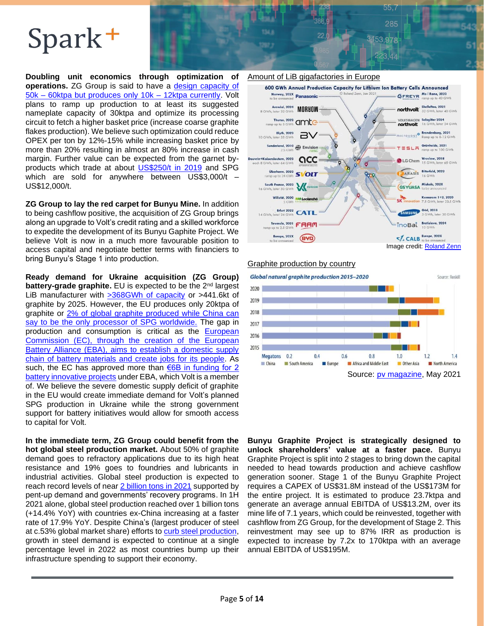**Doubling unit economics through optimization of operations.** ZG Group is said to have a design capacity of 50k – [60ktpa but produces only 10k –](http://znp.igns.gov.ua/wp-content/uploads/2020/01/3_31_1-1.pdf) 12ktpa currently. Volt plans to ramp up production to at least its suggested nameplate capacity of 30ktpa and optimize its processing circuit to fetch a higher basket price (increase coarse graphite flakes production). We believe such optimization could reduce OPEX per ton by 12%-15% while increasing basket price by more than 20% resulting in almost an 80% increase in cash margin. Further value can be expected from the garnet byproducts which trade at about **US\$250/t in 2019** and SPG which are sold for anywhere between US\$3,000/t – US\$12,000/t.

**ZG Group to lay the red carpet for Bunyu Mine.** In addition to being cashflow positive, the acquisition of ZG Group brings along an upgrade to Volt's credit rating and a skilled workforce to expedite the development of its Bunyu Gaphite Project. We believe Volt is now in a much more favourable position to access capital and negotiate better terms with financiers to bring Bunyu's Stage 1 into production.

**Ready demand for Ukraine acquisition (ZG Group) battery-grade graphite.** EU is expected to be the 2<sup>nd</sup> largest LiB manufacturer with [>368GWh of capacity](https://www.spglobal.com/marketintelligence/en/news-insights/blog/top-electric-vehicle-markets-dominate-lithium-ion-battery-capacity-growth) or >441.6kt of graphite by 2025. However, the EU produces only 20ktpa of graphite or [2% of global graphite produced](https://investingnews.com/daily/resource-investing/battery-metals-investing/graphite-investing/europes-graphite-supply-chain/#:~:text=Skaland%20is%20the%20largest%20crystalline,annual%20natural%20flake%20graphite%20production.) while China can [say to be the only processor of SPG worldwide.](https://investingnews.com/daily/resource-investing/battery-metals-investing/graphite-investing/europes-graphite-supply-chain/#:~:text=Skaland%20is%20the%20largest%20crystalline,annual%20natural%20flake%20graphite%20production.) The gap in production and consumption is critical as the [European](https://www.spglobal.com/platts/en/market-insights/topics/hydrogen)  [Commission \(EC\), through the creation of the European](https://www.spglobal.com/platts/en/market-insights/topics/hydrogen)  Battery Alliance (EBA), [aims to establish a domestic supply](https://www.spglobal.com/platts/en/market-insights/topics/hydrogen)  [chain of battery materials and create](https://www.spglobal.com/platts/en/market-insights/topics/hydrogen) jobs for its people. As such, the EC has approved more than  $E$ 6B in funding for 2 [battery innovative projects](https://www.smart-energy.com/industry-sectors/storage/europes-battery-value-chain-gets-e2-9-billion-boost/) under EBA, which Volt is a member of. We believe the severe domestic supply deficit of graphite in the EU would create immediate demand for Volt's planned SPG production in Ukraine while the strong government support for battery initiatives would allow for smooth access to capital for Volt.

**In the immediate term, ZG Group could benefit from the hot global steel production market.** About 50% of graphite demand goes to refractory applications due to its high heat resistance and 19% goes to foundries and lubricants in industrial activities. Global steel production is expected to reach record levels of near 2 [billion tons](https://eurometal.net/global-steel-output-may-hit-record-in-2021-analysts/) in 2021 supported by pent-up demand and governments' recovery programs. In 1H 2021 alone, global steel production reached over 1 billion tons (+14.4% YoY) with countries ex-China increasing at a faster rate of 17.9% YoY. Despite China's (largest producer of steel at c.53% global market share) efforts to [curb steel production,](https://www.cnbc.com/2021/08/02/china-wants-to-curb-steel-production-some-say-its-virtually-impossible.html) growth in steel demand is expected to continue at a single percentage level in 2022 as most countries bump up their infrastructure spending to support their economy.



 $55,7$ 285

3453.978

Graphite production by country



**Bunyu Graphite Project is strategically designed to unlock shareholders' value at a faster pace.** Bunyu Graphite Project is split into 2 stages to bring down the capital needed to head towards production and achieve cashflow generation sooner. Stage 1 of the Bunyu Graphite Project requires a CAPEX of US\$31.8M instead of the US\$173M for the entire project. It is estimated to produce 23.7ktpa and generate an average annual EBITDA of US\$13.2M, over its mine life of 7.1 years, which could be reinvested, together with cashflow from ZG Group, for the development of Stage 2. This reinvestment may see up to 87% IRR as production is expected to increase by 7.2x to 170ktpa with an average annual EBITDA of US\$195M.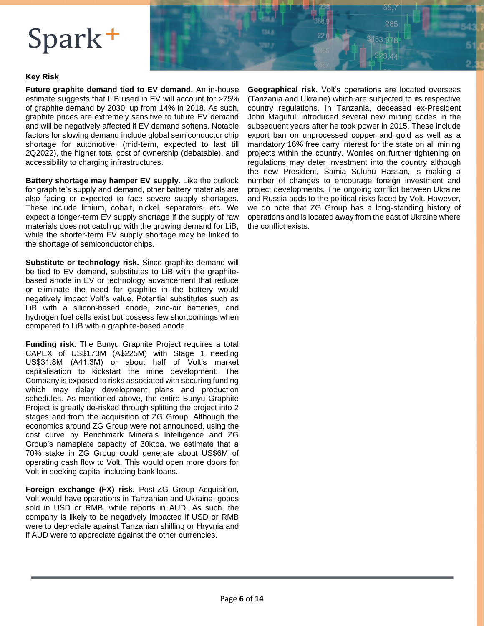

### **Key Risk**

**Future graphite demand tied to EV demand.** An in-house estimate suggests that LiB used in EV will account for >75% of graphite demand by 2030, up from 14% in 2018. As such, graphite prices are extremely sensitive to future EV demand and will be negatively affected if EV demand softens. Notable factors for slowing demand include global semiconductor chip shortage for automotive, (mid-term, expected to last till 2Q2022), the higher total cost of ownership (debatable), and accessibility to charging infrastructures.

**Battery shortage may hamper EV supply.** Like the outlook for graphite's supply and demand, other battery materials are also facing or expected to face severe supply shortages. These include lithium, cobalt, nickel, separators, etc. We expect a longer-term EV supply shortage if the supply of raw materials does not catch up with the growing demand for LiB, while the shorter-term EV supply shortage may be linked to the shortage of semiconductor chips.

**Substitute or technology risk.** Since graphite demand will be tied to EV demand, substitutes to LiB with the graphitebased anode in EV or technology advancement that reduce or eliminate the need for graphite in the battery would negatively impact Volt's value. Potential substitutes such as LiB with a silicon-based anode, zinc-air batteries, and hydrogen fuel cells exist but possess few shortcomings when compared to LiB with a graphite-based anode.

**Funding risk.** The Bunyu Graphite Project requires a total CAPEX of US\$173M (A\$225M) with Stage 1 needing US\$31.8M (A41.3M) or about half of Volt's market capitalisation to kickstart the mine development. The Company is exposed to risks associated with securing funding which may delay development plans and production schedules. As mentioned above, the entire Bunyu Graphite Project is greatly de-risked through splitting the project into 2 stages and from the acquisition of ZG Group. Although the economics around ZG Group were not announced, using the cost curve by Benchmark Minerals Intelligence and ZG Group's nameplate capacity of 30ktpa, we estimate that a 70% stake in ZG Group could generate about US\$6M of operating cash flow to Volt. This would open more doors for Volt in seeking capital including bank loans.

**Foreign exchange (FX) risk.** Post-ZG Group Acquisition, Volt would have operations in Tanzanian and Ukraine, goods sold in USD or RMB, while reports in AUD. As such, the company is likely to be negatively impacted if USD or RMB were to depreciate against Tanzanian shilling or Hryvnia and if AUD were to appreciate against the other currencies.

**Geographical risk.** Volt's operations are located overseas (Tanzania and Ukraine) which are subjected to its respective country regulations. In Tanzania, deceased ex-President John Magufuli introduced several new mining codes in the subsequent years after he took power in 2015. These include export ban on unprocessed copper and gold as well as a mandatory 16% free carry interest for the state on all mining projects within the country. Worries on further tightening on regulations may deter investment into the country although the new President, Samia Suluhu Hassan, is making a number of changes to encourage foreign investment and project developments. The ongoing conflict between Ukraine and Russia adds to the political risks faced by Volt. However, we do note that ZG Group has a long-standing history of operations and is located away from the east of Ukraine where the conflict exists.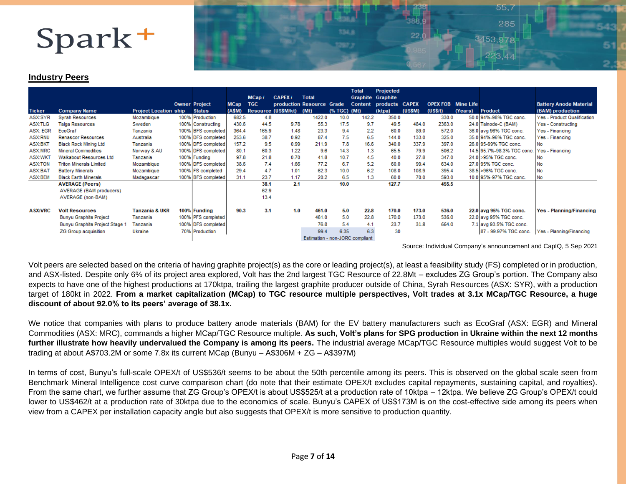

### **Industry Peers**

|                |                                |                              |                      |             |            |                           |                                 |              | <b>Total</b> | Projected                     |         |                           |         |                            |                                 |
|----------------|--------------------------------|------------------------------|----------------------|-------------|------------|---------------------------|---------------------------------|--------------|--------------|-------------------------------|---------|---------------------------|---------|----------------------------|---------------------------------|
|                |                                |                              |                      |             | MCap/      | <b>CAPEX/</b>             | <b>Total</b>                    |              |              | Graphite Graphite             |         |                           |         |                            |                                 |
|                |                                |                              | <b>Owner Project</b> | <b>MCap</b> | <b>TGC</b> | production Resource Grade |                                 |              |              | <b>Content products CAPEX</b> |         | <b>OPEX FOB</b> Mine Life |         |                            | <b>Battery Anode Material</b>   |
| <b>Ticker</b>  | <b>Company Name</b>            | <b>Project Location ship</b> | <b>Status</b>        | (A\$M)      |            | Resource (US\$M/kt)       | (Mt)                            | (% TGC) (Mt) |              | (ktpa)                        | (US\$M) | (US\$/t)                  | (Years) | <b>Product</b>             | (BAM) production                |
| ASX:SYR        | <b>Syrah Resources</b>         | Mozambique                   | 100% Production      | 682.5       | 4.8        |                           | 1422.0                          | 10.0         | 142.2        | 350.0                         |         | 330.0                     |         | 50.0 94%-98% TGC conc.     | Yes - Product Qualification     |
| ASX:TLG        | <b>Talga Resources</b>         | Sweden                       | 100% Constructing    | 430.6       | 44.5       | 9.78                      | 55.3                            | 17.5         | 9.7          | 49.5                          | 484.0   | 2363.0                    |         | 24.0 Talnode-C (BAM)       | Yes - Constructing              |
| ASX: EGR       | EcoGraf                        | Tanzania                     | 100% BFS completed   | 364.4       | 165.9      | 1.48                      | 23.3                            | 9.4          | 2.2          | 60.0                          | 89.0    | 572.0                     |         | 36.0 avg 96% TGC conc.     | Yes - Financing                 |
| ASX:RNU        | <b>Renascor Resources</b>      | Australia                    | 100% DFS completed   | 253.6       | 38.7       | 0.92                      | 87.4                            | 7.5          | 6.5          | 144.0                         | 133.0   | 325.0                     |         | 35.0 94%-96% TGC conc.     | Yes - Financing                 |
| ASX:BKT        | <b>Black Rock Mining Ltd</b>   | Tanzania                     | 100% DFS completed   | 157.2       | 9.5        | 0.99                      | 211.9                           | 7.8          | 16.6         | 340.0                         | 337.9   | 397.0                     |         | 26.0 95-99% TGC conc.      | No                              |
| ASX:MRC        | <b>Mineral Commodities</b>     | Norway & AU                  | 100% DFS completed   | 80.1        | 60.3       | 1.22                      | 9.6                             | 14.3         | 1.3          | 65.5                          | 79.9    | 506.2                     |         | 14.5 95.7%-98.3% TGC conc. | Yes - Financing                 |
| ASX:WKT        | Walkabout Resources Ltd        | Tanzania                     | 100% Funding         | 97.8        | 21.8       | 0.70                      | 41.8                            | 10.7         | 4.5          | 40.0                          | 27.8    | 347.0                     |         | 24.0 > 95% TGC conc.       | No                              |
| <b>ASX:TON</b> | <b>Triton Minerals Limited</b> | Mozambique                   | 100% DFS completed   | 38.6        | 7.4        | 1.66                      | 77.2                            | 6.7          | 5.2          | 60.0                          | 99.4    | 634.0                     |         | 27.0 95% TGC conc.         | No                              |
| ASX:BAT        | <b>Battery Minerals</b>        | Mozambique                   | 100% FS completed    | 29.4        | 4.7        | 1.01                      | 62.3                            | 10.0         | 6.2          | 108.0                         | 108.9   | 395.4                     |         | 38.5 > 96% TGC conc.       | No                              |
| ASX:BEM        | <b>Black Earth Minerals</b>    | Madagascar                   | 100% BFS completed   | 31.1        | 23.7       | 1.17                      | 20.2                            | 6.5          | 1.3          | 60.0                          | 70.0    | 593.0                     |         | 10.0 95%-97% TGC conc.     | No                              |
|                | <b>AVERAGE (Peers)</b>         |                              |                      |             | 38.1       | 2.1                       |                                 | 10.0         |              | 127.7                         |         | 455.5                     |         |                            |                                 |
|                | AVERAGE (BAM producers)        |                              |                      |             | 62.9       |                           |                                 |              |              |                               |         |                           |         |                            |                                 |
|                | AVERAGE (non-BAM)              |                              |                      |             | 13.4       |                           |                                 |              |              |                               |         |                           |         |                            |                                 |
|                |                                |                              |                      |             |            |                           |                                 |              |              |                               |         |                           |         |                            |                                 |
| <b>ASX:VRC</b> | <b>Volt Resources</b>          | <b>Tanzania &amp; UKR</b>    | 100% Funding         | 90.3        | 3.1        | 1.0                       | 461.0                           | 5.0          | 22.8         | 170.0                         | 173.0   | 536.0                     |         | 22.0 avg 95% TGC conc.     | <b>Yes - Planning/Financing</b> |
|                | <b>Bunyu Graphite Project</b>  | Tanzania                     | 100% PFS completed   |             |            |                           | 461.0                           | 5.0          | 22.8         | 170.0                         | 173.0   | 536.0                     |         | 22.0 avg 95% TGC conc.     |                                 |
|                | Bunyu Graphite Project Stage 1 | Tanzania                     | 100% DFS completed   |             |            |                           | 76.8                            | 5.4          | 4.1          | 23.7                          | 31.8    | 664.0                     |         | 7.1 avg 93.5% TGC conc.    |                                 |
|                | <b>ZG Group acquisition</b>    | Ukraine                      | 70% Production       |             |            |                           | 99.4                            | 6.35         | 6.3          | 30                            |         |                           |         | 87 - 99.97% TGC conc.      | Yes - Planning/Financing        |
|                |                                |                              |                      |             |            |                           | Estimation - non-JORC compliant |              |              |                               |         |                           |         |                            |                                 |

Source: Individual Company's announcement and CapIQ, 5 Sep 2021

Volt peers are selected based on the criteria of having graphite project(s) as the core or leading project(s), at least a feasibility study (FS) completed or in production, and ASX-listed. Despite only 6% of its project area explored, Volt has the 2nd largest TGC Resource of 22.8Mt – excludes ZG Group's portion. The Company also expects to have one of the highest productions at 170ktpa, trailing the largest graphite producer outside of China, Syrah Resources (ASX: SYR), with a production target of 180kt in 2022. **From a market capitalization (MCap) to TGC resource multiple perspectives, Volt trades at 3.1x MCap/TGC Resource, a huge discount of about 92.0% to its peers' average of 38.1x.**

We notice that companies with plans to produce battery anode materials (BAM) for the EV battery manufacturers such as EcoGraf (ASX: EGR) and Mineral Commodities (ASX: MRC), commands a higher MCap/TGC Resource multiple. **As such, Volt's plans for SPG production in Ukraine within the next 12 months further illustrate how heavily undervalued the Company is among its peers.** The industrial average MCap/TGC Resource multiples would suggest Volt to be trading at about A\$703.2M or some 7.8x its current MCap (Bunyu – A\$306M + ZG – A\$397M)

In terms of cost, Bunyu's full-scale OPEX/t of US\$536/t seems to be about the 50th percentile among its peers. This is observed on the global scale seen from Benchmark Mineral Intelligence cost curve comparison chart (do note that their estimate OPEX/t excludes capital repayments, sustaining capital, and royalties). From the same chart, we further assume that ZG Group's OPEX/t is about US\$525/t at a production rate of 10ktpa – 12ktpa. We believe ZG Group's OPEX/t could lower to US\$462/t at a production rate of 30ktpa due to the economics of scale. Bunyu's CAPEX of US\$173M is on the cost-effective side among its peers when view from a CAPEX per installation capacity angle but also suggests that OPEX/t is more sensitive to production quantity.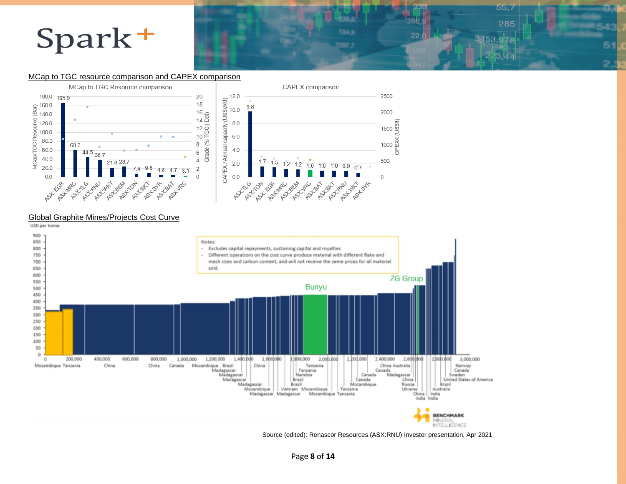### $55.7$ 285 3453,978 6 223.44  $\overline{c}$

### MCap to TGC resource comparison and CAPEX comparison



### Global Graphite Mines/Projects Cost Curve



Source (edited): Renascor Resources (ASX:RNU) Investor presentation, Apr 2021 .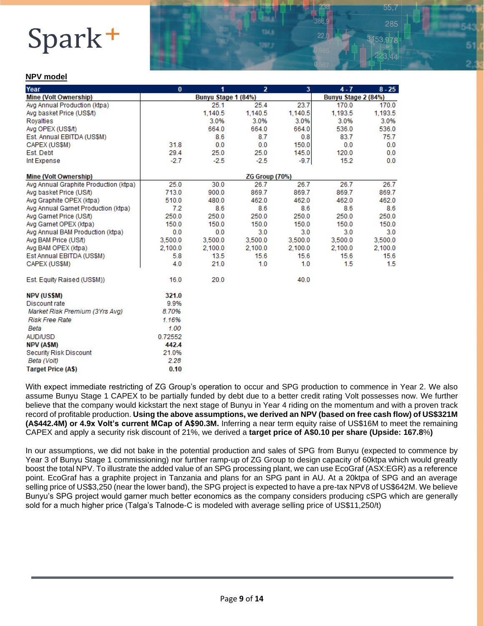#### **NPV model**

| Year                                  | $\bf{0}$ | 1                   | 2                   | 3       | $4 - 7$ | $8 - 25$ |
|---------------------------------------|----------|---------------------|---------------------|---------|---------|----------|
| <b>Mine (Volt Ownership)</b>          |          | Bunyu Stage 1 (84%) | Bunyu Stage 2 (84%) |         |         |          |
| Avg Annual Production (ktpa)          |          | 25.1                | 25.4                | 23.7    | 170.0   | 170.0    |
| Avg basket Price (US\$/t)             |          | 1,140.5             | 1,140.5             | 1,140.5 | 1,193.5 | 1,193.5  |
| Royalties                             |          | 3.0%                | 3.0%                | 3.0%    | 3.0%    | 3.0%     |
| Avg OPEX (US\$/t)                     |          | 664.0               | 664.0               | 664.0   | 536.0   | 536.0    |
| Est. Annual EBITDA (US\$M)            |          | 8.6                 | 8.7                 | 0.8     | 83.7    | 75.7     |
| CAPEX (US\$M)                         | 31.8     | 0.0                 | 0.0                 | 150.0   | 0.0     | 0.0      |
| Est. Debt                             | 29.4     | 25.0                | 25.0                | 145.0   | 120.0   | 0.0      |
| Int Expense                           | $-2.7$   | $-2.5$              | $-2.5$              | $-9.7$  | 15.2    | 0.0      |
| <b>Mine (Volt Ownership)</b>          |          |                     | ZG Group (70%)      |         |         |          |
| Avg Annual Graphite Production (ktpa) | 25.0     | 30.0                | 26.7                | 26.7    | 26.7    | 26.7     |
| Avg basket Price (US/t)               | 713.0    | 900.0               | 869.7               | 869.7   | 869.7   | 869.7    |
| Avg Graphite OPEX (ktpa)              | 510.0    | 480.0               | 462.0               | 462.0   | 462.0   | 462.0    |
| Avg Annual Garnet Production (ktpa)   | 7.2      | 8.6                 | 8.6                 | 8.6     | 8.6     | 8.6      |
| Avg Garnet Price (US/t)               | 250.0    | 250.0               | 250.0               | 250.0   | 250.0   | 250.0    |
| Avg Garnet OPEX (ktpa)                | 150.0    | 150.0               | 150.0               | 150.0   | 150.0   | 150.0    |
| Avg Annual BAM Production (ktpa)      | 0.0      | 0.0                 | 3.0                 | 3.0     | 3.0     | 3.0      |
| Avg BAM Price (US/t)                  | 3,500.0  | 3,500.0             | 3,500.0             | 3,500.0 | 3,500.0 | 3,500.0  |
| Avg BAM OPEX (ktpa)                   | 2.100.0  | 2.100.0             | 2.100.0             | 2.100.0 | 2.100.0 | 2,100.0  |
| Est Annual EBITDA (US\$M)             | 5.8      | 13.5                | 15.6                | 15.6    | 15.6    | 15.6     |
| CAPEX (US\$M)                         | 4.0      | 21.0                | 1.0                 | 1.0     | 1.5     | 1.5      |
| Est. Equity Raised (US\$M))           | 16.0     | 20.0                |                     | 40.0    |         |          |
| <b>NPV (US\$M)</b>                    | 321.0    |                     |                     |         |         |          |
| Discount rate                         | 9.9%     |                     |                     |         |         |          |
| Market Risk Premium (3Yrs Avg)        | 8.70%    |                     |                     |         |         |          |
| <b>Risk Free Rate</b>                 | 1.16%    |                     |                     |         |         |          |
| Beta                                  | 1.00     |                     |                     |         |         |          |
| <b>AUD/USD</b>                        | 0.72552  |                     |                     |         |         |          |
| NPV (A\$M)                            | 442.4    |                     |                     |         |         |          |
| <b>Security Risk Discount</b>         | 21.0%    |                     |                     |         |         |          |
| Beta (Volt)                           | 2.28     |                     |                     |         |         |          |
| <b>Target Price (A\$)</b>             | 0.10     |                     |                     |         |         |          |

55.

With expect immediate restricting of ZG Group's operation to occur and SPG production to commence in Year 2. We also assume Bunyu Stage 1 CAPEX to be partially funded by debt due to a better credit rating Volt possesses now. We further believe that the company would kickstart the next stage of Bunyu in Year 4 riding on the momentum and with a proven track record of profitable production. **Using the above assumptions, we derived an NPV (based on free cash flow) of US\$321M (A\$442.4M) or 4.9x Volt's current MCap of A\$90.3M.** Inferring a near term equity raise of US\$16M to meet the remaining CAPEX and apply a security risk discount of 21%, we derived a **target price of A\$0.10 per share (Upside: 167.8**%**)**

In our assumptions, we did not bake in the potential production and sales of SPG from Bunyu (expected to commence by Year 3 of Bunyu Stage 1 commissioning) nor further ramp-up of ZG Group to design capacity of 60ktpa which would greatly boost the total NPV. To illustrate the added value of an SPG processing plant, we can use EcoGraf (ASX:EGR) as a reference point. EcoGraf has a graphite project in Tanzania and plans for an SPG pant in AU. At a 20ktpa of SPG and an average selling price of US\$3,250 (near the lower band), the SPG project is expected to have a pre-tax NPV8 of US\$642M. We believe Bunyu's SPG project would garner much better economics as the company considers producing cSPG which are generally sold for a much higher price (Talga's Talnode-C is modeled with average selling price of US\$11,250/t)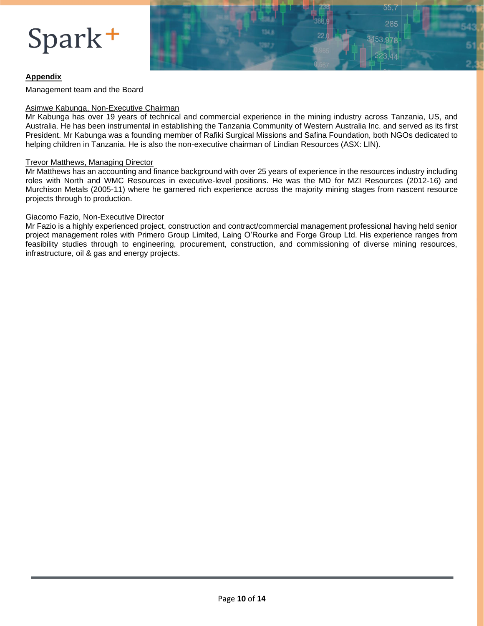

### **Appendix**

Management team and the Board

#### Asimwe Kabunga, Non-Executive Chairman

Mr Kabunga has over 19 years of technical and commercial experience in the mining industry across Tanzania, US, and Australia. He has been instrumental in establishing the Tanzania Community of Western Australia Inc. and served as its first President. Mr Kabunga was a founding member of Rafiki Surgical Missions and Safina Foundation, both NGOs dedicated to helping children in Tanzania. He is also the non-executive chairman of Lindian Resources (ASX: LIN).

#### Trevor Matthews, Managing Director

Mr Matthews has an accounting and finance background with over 25 years of experience in the resources industry including roles with North and WMC Resources in executive-level positions. He was the MD for MZI Resources (2012-16) and Murchison Metals (2005-11) where he garnered rich experience across the majority mining stages from nascent resource projects through to production.

#### Giacomo Fazio, Non-Executive Director

Mr Fazio is a highly experienced project, construction and contract/commercial management professional having held senior project management roles with Primero Group Limited, Laing O'Rourke and Forge Group Ltd. His experience ranges from feasibility studies through to engineering, procurement, construction, and commissioning of diverse mining resources, infrastructure, oil & gas and energy projects.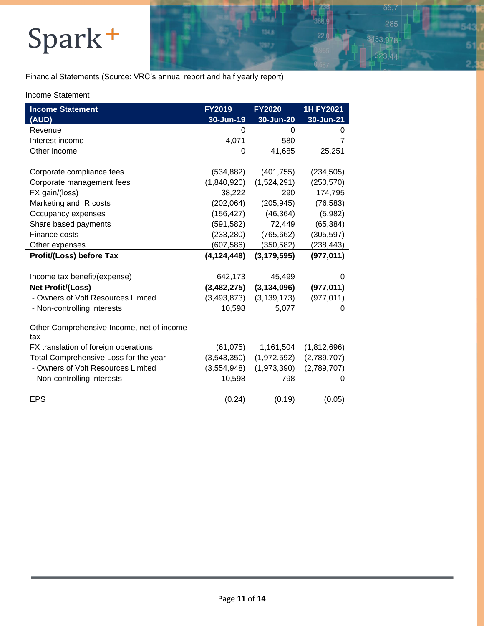Financial Statements (Source: VRC's annual report and half yearly report)

 $55,7$ 285

3 44

ŝ

 $\overline{c}$ 

3453,978

### Income Statement

| <b>Income Statement</b>                          | FY2019        | <b>FY2020</b> | 1H FY2021   |
|--------------------------------------------------|---------------|---------------|-------------|
| (AUD)                                            | 30-Jun-19     | 30-Jun-20     | 30-Jun-21   |
| Revenue                                          | 0             | 0             | 0           |
| Interest income                                  | 4,071         | 580           | 7           |
| Other income                                     | 0             | 41,685        | 25,251      |
| Corporate compliance fees                        | (534, 882)    | (401, 755)    | (234, 505)  |
| Corporate management fees                        | (1,840,920)   | (1,524,291)   | (250, 570)  |
| FX gain/(loss)                                   | 38,222        | 290           | 174,795     |
| Marketing and IR costs                           | (202,064)     | (205, 945)    | (76, 583)   |
| Occupancy expenses                               | (156, 427)    | (46, 364)     | (5,982)     |
| Share based payments                             | (591, 582)    | 72,449        | (65, 384)   |
| Finance costs                                    | (233, 280)    | (765, 662)    | (305, 597)  |
| Other expenses                                   | (607, 586)    | (350, 582)    | (238, 443)  |
| Profit/(Loss) before Tax                         | (4, 124, 448) | (3, 179, 595) | (977, 011)  |
|                                                  |               |               |             |
| Income tax benefit/(expense)                     | 642,173       | 45,499        | 0           |
| <b>Net Profit/(Loss)</b>                         | (3,482,275)   | (3, 134, 096) | (977, 011)  |
| - Owners of Volt Resources Limited               | (3, 493, 873) | (3, 139, 173) | (977, 011)  |
| - Non-controlling interests                      | 10,598        | 5,077         | 0           |
| Other Comprehensive Income, net of income<br>tax |               |               |             |
| FX translation of foreign operations             | (61, 075)     | 1,161,504     | (1,812,696) |
| Total Comprehensive Loss for the year            | (3,543,350)   | (1,972,592)   | (2,789,707) |
| - Owners of Volt Resources Limited               | (3,554,948)   | (1,973,390)   | (2,789,707) |
| - Non-controlling interests                      | 10,598        | 798           | 0           |
| <b>EPS</b>                                       | (0.24)        | (0.19)        | (0.05)      |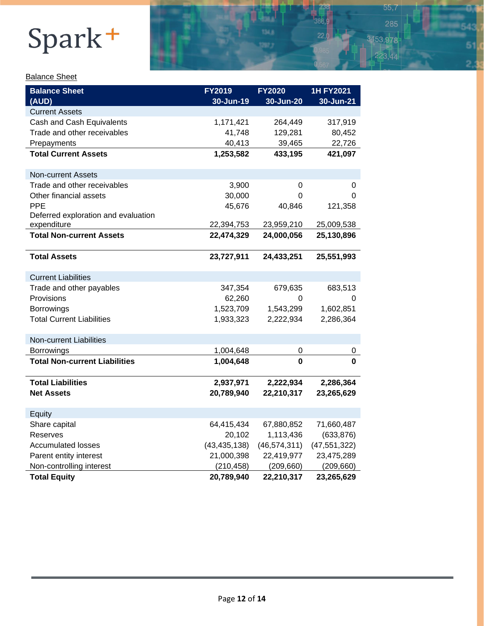### Balance Sheet

| <b>Balance Sheet</b><br>(AUD)        | FY2019<br>30-Jun-19 | <b>FY2020</b><br>30-Jun-20 | <b>1H FY2021</b><br>30-Jun-21 |
|--------------------------------------|---------------------|----------------------------|-------------------------------|
| <b>Current Assets</b>                |                     |                            |                               |
| Cash and Cash Equivalents            | 1,171,421           | 264,449                    | 317,919                       |
| Trade and other receivables          | 41,748              | 129,281                    | 80,452                        |
| Prepayments                          | 40,413              | 39,465                     | 22,726                        |
| <b>Total Current Assets</b>          | 1,253,582           | 433,195                    | 421,097                       |
| <b>Non-current Assets</b>            |                     |                            |                               |
| Trade and other receivables          | 3,900               | $\mathbf 0$                | 0                             |
| Other financial assets               | 30,000              | 0                          | 0                             |
| PPE                                  | 45,676              | 40,846                     | 121,358                       |
| Deferred exploration and evaluation  |                     |                            |                               |
| expenditure                          | 22,394,753          | 23,959,210                 | 25,009,538                    |
| <b>Total Non-current Assets</b>      | 22,474,329          | 24,000,056                 | 25,130,896                    |
| <b>Total Assets</b>                  | 23,727,911          | 24,433,251                 | 25,551,993                    |
| <b>Current Liabilities</b>           |                     |                            |                               |
| Trade and other payables             | 347,354             | 679,635                    | 683,513                       |
| Provisions                           | 62,260              | 0                          | 0                             |
| Borrowings                           | 1,523,709           | 1,543,299                  | 1,602,851                     |
| <b>Total Current Liabilities</b>     | 1,933,323           | 2,222,934                  | 2,286,364                     |
| <b>Non-current Liabilities</b>       |                     |                            |                               |
| Borrowings                           | 1,004,648           | 0                          | 0                             |
| <b>Total Non-current Liabilities</b> | 1,004,648           | $\bf{0}$                   | 0                             |
| <b>Total Liabilities</b>             | 2,937,971           | 2,222,934                  | 2,286,364                     |
| <b>Net Assets</b>                    | 20,789,940          | 22,210,317                 | 23,265,629                    |
| Equity                               |                     |                            |                               |
| Share capital                        | 64,415,434          | 67,880,852                 | 71,660,487                    |
| Reserves                             | 20,102              | 1,113,436                  | (633, 876)                    |
| <b>Accumulated losses</b>            | (43, 435, 138)      | (46, 574, 311)             | (47, 551, 322)                |
| Parent entity interest               | 21,000,398          | 22,419,977                 | 23,475,289                    |
| Non-controlling interest             | (210, 458)          | (209, 660)                 | (209, 660)                    |
| <b>Total Equity</b>                  | 20,789,940          | 22,210,317                 | 23,265,629                    |

 $55,7$ 

3453,978

 $223,44$ 

 $\overline{c}$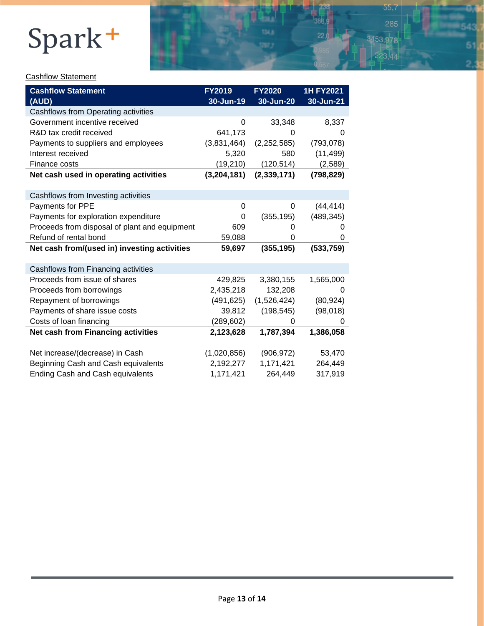

 $\overline{c}$ 

### **Cashflow Statement**

| <b>Cashflow Statement</b>                     | FY2019      | <b>FY2020</b> | <b>1H FY2021</b> |
|-----------------------------------------------|-------------|---------------|------------------|
| (AUD)                                         | 30-Jun-19   | 30-Jun-20     | 30-Jun-21        |
| Cashflows from Operating activities           |             |               |                  |
| Government incentive received                 | 0           | 33,348        | 8,337            |
| R&D tax credit received                       | 641,173     | 0             | 0                |
| Payments to suppliers and employees           | (3,831,464) | (2,252,585)   | (793, 078)       |
| Interest received                             | 5,320       | 580           | (11, 499)        |
| Finance costs                                 | (19, 210)   | (120, 514)    | (2,589)          |
| Net cash used in operating activities         | (3,204,181) | (2, 339, 171) | (798, 829)       |
|                                               |             |               |                  |
| Cashflows from Investing activities           |             |               |                  |
| Payments for PPE                              | 0           | 0             | (44, 414)        |
| Payments for exploration expenditure          | 0           | (355, 195)    | (489, 345)       |
| Proceeds from disposal of plant and equipment | 609         | O             | $\Omega$         |
| Refund of rental bond                         | 59,088      | 0             | 0                |
| Net cash from/(used in) investing activities  | 59,697      | (355, 195)    | (533, 759)       |
|                                               |             |               |                  |
| Cashflows from Financing activities           |             |               |                  |
| Proceeds from issue of shares                 | 429,825     | 3,380,155     | 1,565,000        |
| Proceeds from borrowings                      | 2,435,218   | 132,208       | $\Omega$         |
| Repayment of borrowings                       | (491, 625)  | (1,526,424)   | (80, 924)        |
| Payments of share issue costs                 | 39,812      | (198, 545)    | (98,018)         |
| Costs of loan financing                       | (289, 602)  | 0             | 0                |
| Net cash from Financing activities            | 2,123,628   | 1,787,394     | 1,386,058        |
|                                               |             |               |                  |
| Net increase/(decrease) in Cash               | (1,020,856) | (906, 972)    | 53,470           |
| Beginning Cash and Cash equivalents           | 2,192,277   | 1,171,421     | 264,449          |
| <b>Ending Cash and Cash equivalents</b>       | 1,171,421   | 264,449       | 317,919          |